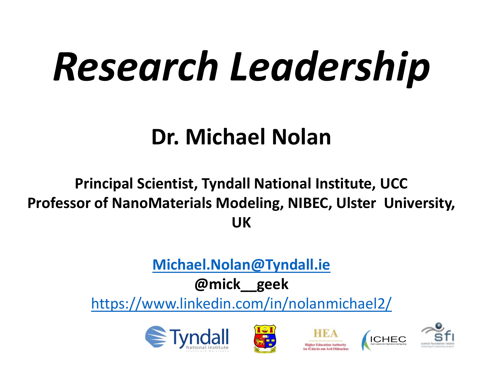# *Research Leadership*

### **Dr. Michael Nolan**

#### **Principal Scientist, Tyndall National Institute, UCC Professor of NanoMaterials Modeling, NIBEC, Ulster University, UK**

#### **[Michael.Nolan@Tyndall.ie](mailto:Michael.Nolan@Tyndall.ie)**

#### **@mick\_\_geek**

<https://www.linkedin.com/in/nolanmichael2/>









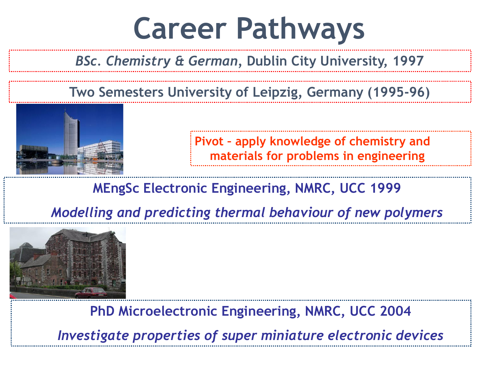### **Career Pathways**

#### *BSc. Chemistry & German,* **Dublin City University, 1997**

#### **Two Semesters University of Leipzig***,* **Germany (1995-96)**



**Pivot – apply knowledge of chemistry and materials for problems in engineering**

#### **MEngSc Electronic Engineering, NMRC, UCC 1999**

*Modelling and predicting thermal behaviour of new polymers*



**PhD Microelectronic Engineering, NMRC, UCC 2004**

*Investigate properties of super miniature electronic devices*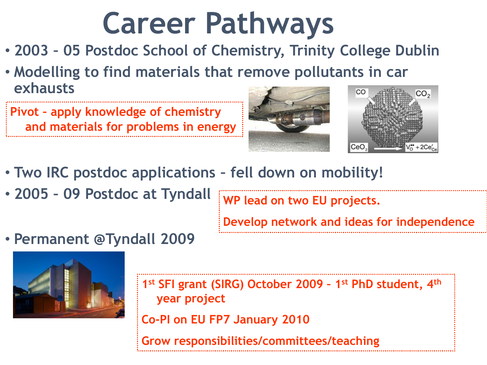# **Career Pathways**

- **2003 – 05 Postdoc School of Chemistry, Trinity College Dublin**
- **Modelling to find materials that remove pollutants in car exhausts** CO

**Pivot – apply knowledge of chemistry and materials for problems in energy**



- **Two IRC postdoc applications – fell down on mobility!**
- **2005 – 09 Postdoc at Tyndall**

**WP lead on two EU projects.** 

**Develop network and ideas for independence**

• **Permanent @Tyndall 2009**



**1 st SFI grant (SIRG) October 2009 – 1 st PhD student, 4th year project**

**Co-PI on EU FP7 January 2010**

**Grow responsibilities/committees/teaching**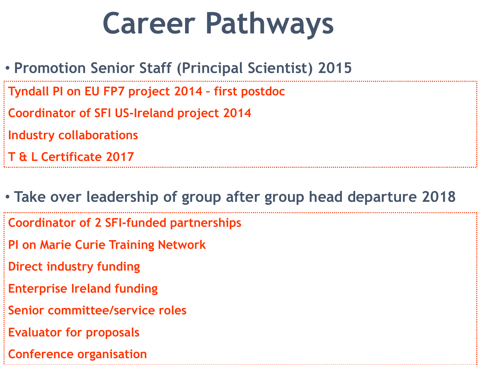# **Career Pathways**

- **Promotion Senior Staff (Principal Scientist) 2015 Tyndall PI on EU FP7 project 2014 – first postdoc Coordinator of SFI US-Ireland project 2014 Industry collaborations T & L Certificate 2017**
- **Take over leadership of group after group head departure 2018 Coordinator of 2 SFI-funded partnerships PI on Marie Curie Training Network Direct industry funding Enterprise Ireland funding Senior committee/service roles Evaluator for proposals Conference organisation**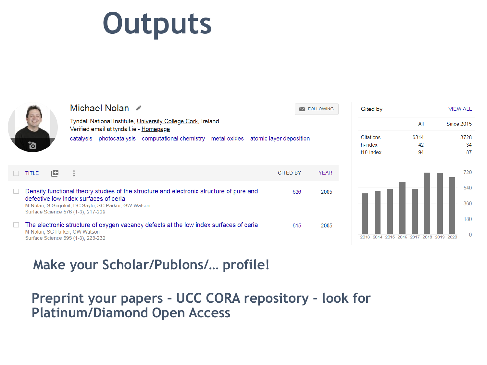# **Outputs**

Michael Nolon



|                                                                                                                                                                                                                                 |    | <u>IVIIUI Idei INUIdi Lar</u>                                                                                                                                                                       |  |                                                                                       |  |                 | <b>M FOLLOWING</b> |             |
|---------------------------------------------------------------------------------------------------------------------------------------------------------------------------------------------------------------------------------|----|-----------------------------------------------------------------------------------------------------------------------------------------------------------------------------------------------------|--|---------------------------------------------------------------------------------------|--|-----------------|--------------------|-------------|
| ľo                                                                                                                                                                                                                              |    | Tyndall National Institute, University College Cork, Ireland<br>Verified email at tyndall.ie - Homepage<br>photocatalysis computational chemistry metal oxides atomic layer deposition<br>catalysis |  |                                                                                       |  |                 |                    |             |
| <b>TITLE</b>                                                                                                                                                                                                                    | ıш | ÷                                                                                                                                                                                                   |  |                                                                                       |  | <b>CITED BY</b> |                    | <b>YEAR</b> |
| Density functional theory studies of the structure and electronic structure of pure and<br>defective low index surfaces of cerial<br>M Nolan, S Grigoleit, DC Sayle, SC Parker, GW Watson<br>Surface Science 576 (1-3), 217-229 |    |                                                                                                                                                                                                     |  |                                                                                       |  |                 | 626                | 2005        |
|                                                                                                                                                                                                                                 |    | M Nolan, SC Parker, GW Watson<br>Surface Science 595 (1-3), 223-232                                                                                                                                 |  | The electronic structure of oxygen vacancy defects at the low index surfaces of ceria |  |                 | 615                | 2005        |



**VIFW ALL** 

**Communication** 

Cited by

#### **Make your Scholar/Publons/… profile!**

#### **Preprint your papers – UCC CORA repository – look for Platinum/Diamond Open Access**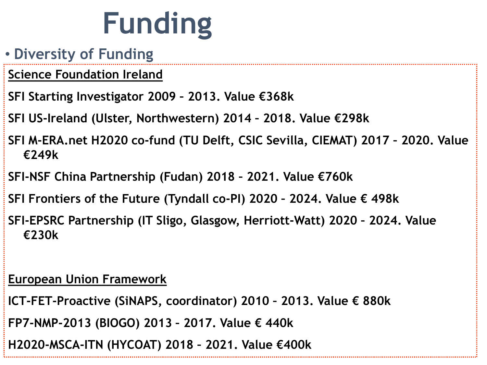# **Funding**

- **Diversity of Funding**
- **Science Foundation Ireland**
- **SFI Starting Investigator 2009 – 2013. Value €368k**
- **SFI US-Ireland (Ulster, Northwestern) 2014 – 2018. Value €298k**
- **SFI M-ERA.net H2020 co-fund (TU Delft, CSIC Sevilla, CIEMAT) 2017 – 2020. Value €249k**
- **SFI-NSF China Partnership (Fudan) 2018 – 2021. Value €760k**
- **SFI Frontiers of the Future (Tyndall co-PI) 2020 – 2024. Value € 498k**
- **SFI-EPSRC Partnership (IT Sligo, Glasgow, Herriott-Watt) 2020 – 2024. Value €230k**

#### **European Union Framework**

- **ICT-FET-Proactive (SiNAPS, coordinator) 2010 – 2013. Value € 880k**
- **FP7-NMP-2013 (BIOGO) 2013 – 2017. Value € 440k**
- **H2020-MSCA-ITN (HYCOAT) 2018 – 2021. Value €400k**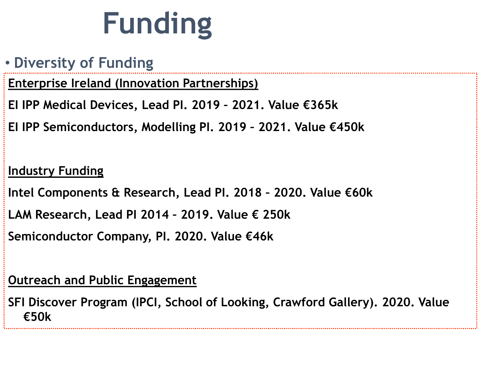# **Funding**

#### • **Diversity of Funding**

**Enterprise Ireland (Innovation Partnerships)**

**EI IPP Medical Devices, Lead PI. 2019 – 2021. Value €365k**

**EI IPP Semiconductors, Modelling PI. 2019 – 2021. Value €450k**

#### **Industry Funding**

**Intel Components & Research, Lead PI. 2018 – 2020. Value €60k**

**LAM Research, Lead PI 2014 – 2019. Value € 250k**

**Semiconductor Company, PI. 2020. Value €46k**

#### **Outreach and Public Engagement**

**SFI Discover Program (IPCI, School of Looking, Crawford Gallery). 2020. Value €50k**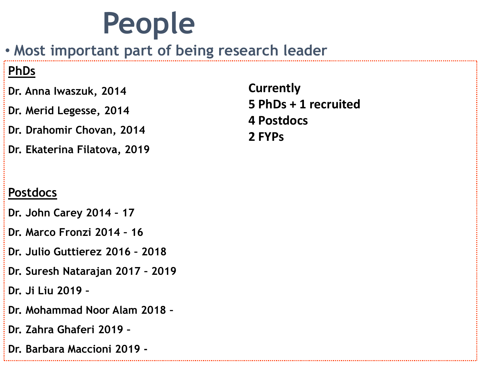### **People**

• **Most important part of being research leader**

#### **PhDs**

- **Dr. Anna Iwaszuk, 2014**
- **Dr. Merid Legesse, 2014**
- **Dr. Drahomir Chovan, 2014**
- **Dr. Ekaterina Filatova, 2019**

**Currently 5 PhDs + 1 recruited 4 Postdocs 2 FYPs**

#### **Postdocs**

- **Dr. John Carey 2014 – 17**
- **Dr. Marco Fronzi 2014 – 16**
- **Dr. Julio Guttierez 2016 – 2018**
- **Dr. Suresh Natarajan 2017 – 2019**
- **Dr. Ji Liu 2019 –**
- **Dr. Mohammad Noor Alam 2018 –**
- **Dr. Zahra Ghaferi 2019 –**
- **Dr. Barbara Maccioni 2019 -**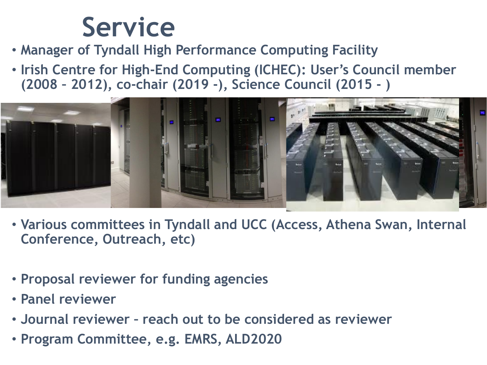### **Service**

- **Manager of Tyndall High Performance Computing Facility**
- **Irish Centre for High-End Computing (ICHEC): User's Council member (2008 – 2012), co-chair (2019 -), Science Council (2015 - )**



- **Various committees in Tyndall and UCC (Access, Athena Swan, Internal Conference, Outreach, etc)**
- **Proposal reviewer for funding agencies**
- **Panel reviewer**
- **Journal reviewer – reach out to be considered as reviewer**
- **Program Committee, e.g. EMRS, ALD2020**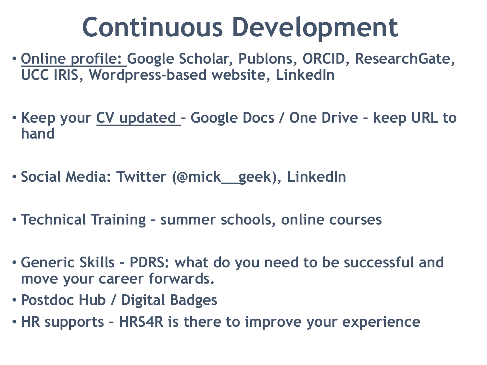### **Continuous Development**

- **Online profile: Google Scholar, Publons, ORCID, ResearchGate, UCC IRIS, Wordpress-based website, LinkedIn**
- **Keep your CV updated – Google Docs / One Drive – keep URL to hand**
- **Social Media: Twitter (@mick\_\_geek), LinkedIn**
- **Technical Training – summer schools, online courses**
- **Generic Skills – PDRS: what do you need to be successful and move your career forwards.**
- **Postdoc Hub / Digital Badges**
- **HR supports – HRS4R is there to improve your experience**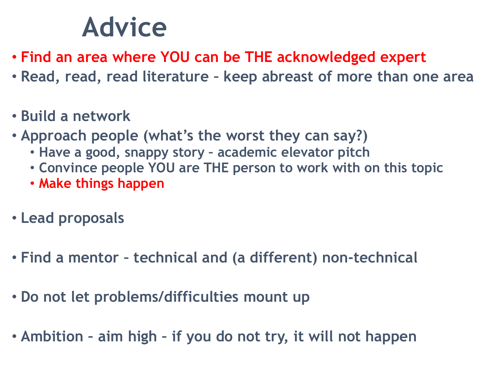### **Advice**

- **Find an area where YOU can be THE acknowledged expert**
- **Read, read, read literature – keep abreast of more than one area**
- **Build a network**
- **Approach people (what's the worst they can say?)**
	- **Have a good, snappy story – academic elevator pitch**
	- **Convince people YOU are THE person to work with on this topic**
	- **Make things happen**
- **Lead proposals**
- **Find a mentor – technical and (a different) non-technical**
- **Do not let problems/difficulties mount up**
- **Ambition – aim high – if you do not try, it will not happen**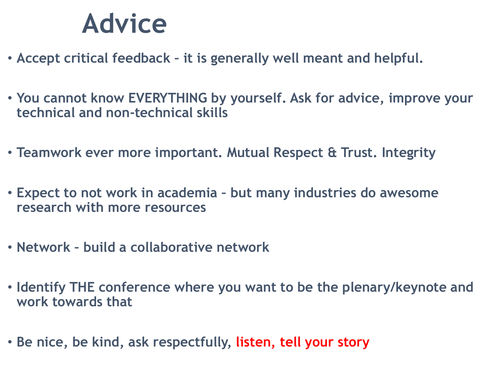### **Advice**

- **Accept critical feedback – it is generally well meant and helpful.**
- **You cannot know EVERYTHING by yourself. Ask for advice, improve your technical and non-technical skills**
- **Teamwork ever more important. Mutual Respect & Trust. Integrity**
- **Expect to not work in academia – but many industries do awesome research with more resources**
- **Network – build a collaborative network**
- **Identify THE conference where you want to be the plenary/keynote and work towards that**
- **Be nice, be kind, ask respectfully, listen, tell your story**